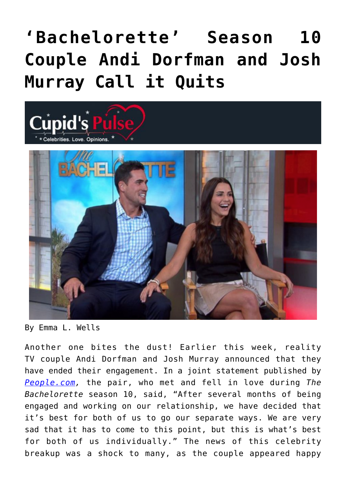## **['Bachelorette' Season 10](https://cupidspulse.com/84890/bachelorette-season-10-andi-dorfman-josh-murray-celebrity-breakup/) [Couple Andi Dorfman and Josh](https://cupidspulse.com/84890/bachelorette-season-10-andi-dorfman-josh-murray-celebrity-breakup/) [Murray Call it Quits](https://cupidspulse.com/84890/bachelorette-season-10-andi-dorfman-josh-murray-celebrity-breakup/)**



By Emma L. Wells

Another one bites the dust! Earlier this week, reality TV couple Andi Dorfman and Josh Murray announced that they have ended their engagement. In a joint statement published by *[People.com,](http://www.people.com/article/andi-dorfman-josh-murray-split-bachelorette)* the pair, who met and fell in love during *The Bachelorette* season 10, said, "After several months of being engaged and working on our relationship, we have decided that it's best for both of us to go our separate ways. We are very sad that it has to come to this point, but this is what's best for both of us individually." The news of this celebrity breakup was a shock to many, as the couple appeared happy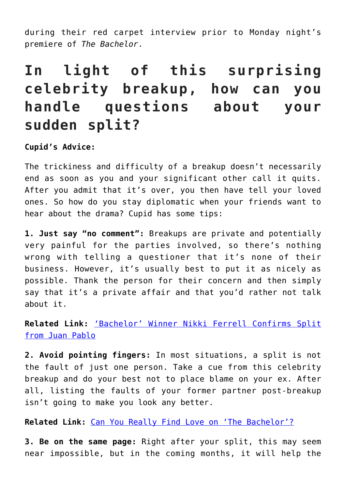during their red carpet interview prior to Monday night's premiere of *The Bachelor*.

## **In light of this surprising celebrity breakup, how can you handle questions about your sudden split?**

**Cupid's Advice:**

The trickiness and difficulty of a breakup doesn't necessarily end as soon as you and your significant other call it quits. After you admit that it's over, you then have tell your loved ones. So how do you stay diplomatic when your friends want to hear about the drama? Cupid has some tips:

**1. Just say "no comment":** Breakups are private and potentially very painful for the parties involved, so there's nothing wrong with telling a questioner that it's none of their business. However, it's usually best to put it as nicely as possible. Thank the person for their concern and then simply say that it's a private affair and that you'd rather not talk about it.

**Related Link:** ['Bachelor' Winner Nikki Ferrell Confirms Split](http://cupidspulse.com/82929/bachelor-nikki-ferrell-confirms-juan-pablo-split/) [from Juan Pablo](http://cupidspulse.com/82929/bachelor-nikki-ferrell-confirms-juan-pablo-split/)

**2. Avoid pointing fingers:** In most situations, a split is not the fault of just one person. Take a cue from this celebrity breakup and do your best not to place blame on your ex. After all, listing the faults of your former partner post-breakup isn't going to make you look any better.

**Related Link:** [Can You Really Find Love on 'The Bachelor'?](http://cupidspulse.com/69076/marni-battista-can-you-find-love-on-the-bachelor/)

**3. Be on the same page:** Right after your split, this may seem near impossible, but in the coming months, it will help the